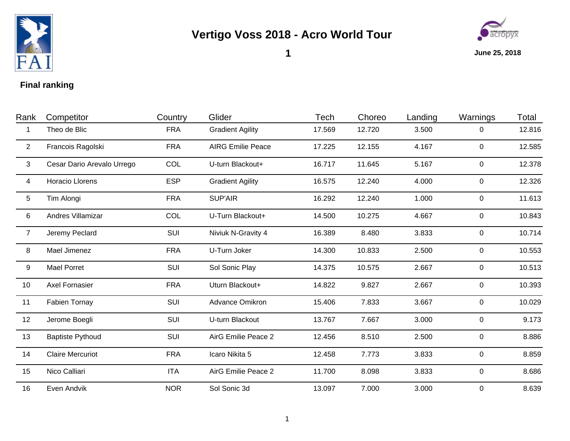

## **Vertigo Voss 2018 - Acro World Tour**



**1**

**June 25, 2018**

## **Final ranking**

| Rank           | Competitor                 | Country    | Glider                   | Tech   | Choreo | Landing | Warnings       | Total  |
|----------------|----------------------------|------------|--------------------------|--------|--------|---------|----------------|--------|
| -1             | Theo de Blic               | <b>FRA</b> | <b>Gradient Agility</b>  | 17.569 | 12.720 | 3.500   | 0              | 12.816 |
| $\overline{2}$ | Francois Ragolski          | <b>FRA</b> | <b>AIRG Emilie Peace</b> | 17.225 | 12.155 | 4.167   | $\overline{0}$ | 12.585 |
| $\mathbf{3}$   | Cesar Dario Arevalo Urrego | COL        | U-turn Blackout+         | 16.717 | 11.645 | 5.167   | 0              | 12.378 |
| 4              | Horacio Llorens            | <b>ESP</b> | <b>Gradient Agility</b>  | 16.575 | 12.240 | 4.000   | 0              | 12.326 |
| 5              | Tim Alongi                 | <b>FRA</b> | <b>SUP'AIR</b>           | 16.292 | 12.240 | 1.000   | $\overline{0}$ | 11.613 |
| 6              | Andres Villamizar          | COL        | U-Turn Blackout+         | 14.500 | 10.275 | 4.667   | $\overline{0}$ | 10.843 |
| $\overline{7}$ | Jeremy Peclard             | SUI        | Niviuk N-Gravity 4       | 16.389 | 8.480  | 3.833   | $\overline{0}$ | 10.714 |
| 8              | Mael Jimenez               | <b>FRA</b> | U-Turn Joker             | 14.300 | 10.833 | 2.500   | $\overline{0}$ | 10.553 |
| 9              | <b>Mael Porret</b>         | SUI        | Sol Sonic Play           | 14.375 | 10.575 | 2.667   | $\overline{0}$ | 10.513 |
| 10             | Axel Fornasier             | <b>FRA</b> | Uturn Blackout+          | 14.822 | 9.827  | 2.667   | 0              | 10.393 |
| 11             | Fabien Tornay              | SUI        | Advance Omikron          | 15.406 | 7.833  | 3.667   | 0              | 10.029 |
| 12             | Jerome Boegli              | SUI        | U-turn Blackout          | 13.767 | 7.667  | 3.000   | 0              | 9.173  |
| 13             | <b>Baptiste Pythoud</b>    | SUI        | AirG Emilie Peace 2      | 12.456 | 8.510  | 2.500   | 0              | 8.886  |
| 14             | <b>Claire Mercuriot</b>    | <b>FRA</b> | Icaro Nikita 5           | 12.458 | 7.773  | 3.833   | 0              | 8.859  |
| 15             | Nico Calliari              | <b>ITA</b> | AirG Emilie Peace 2      | 11.700 | 8.098  | 3.833   | 0              | 8.686  |
| 16             | Even Andvik                | <b>NOR</b> | Sol Sonic 3d             | 13.097 | 7.000  | 3.000   | 0              | 8.639  |